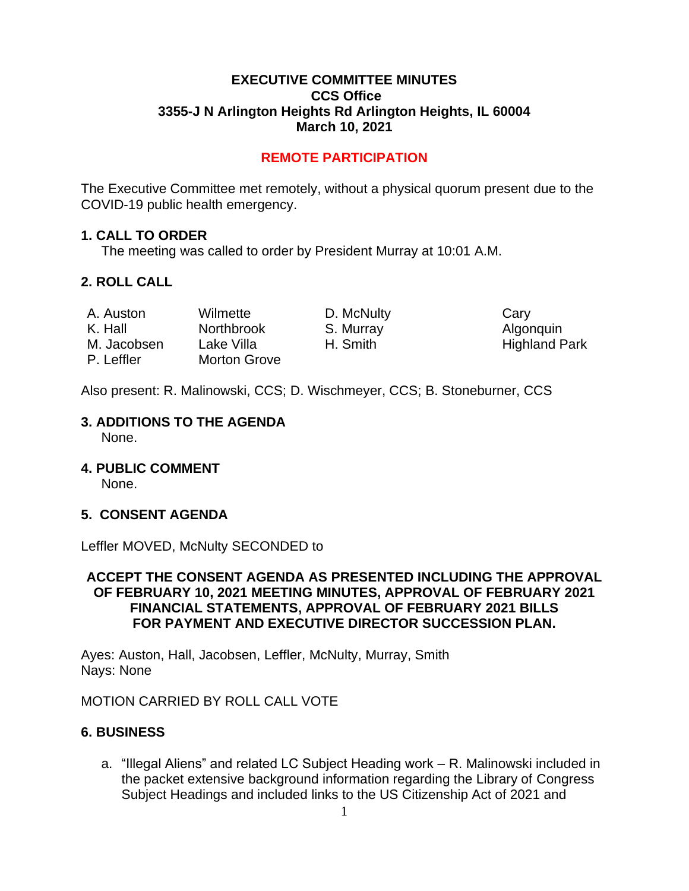### **EXECUTIVE COMMITTEE MINUTES CCS Office 3355-J N Arlington Heights Rd Arlington Heights, IL 60004 March 10, 2021**

# **REMOTE PARTICIPATION**

The Executive Committee met remotely, without a physical quorum present due to the COVID-19 public health emergency.

#### **1. CALL TO ORDER**

The meeting was called to order by President Murray at 10:01 A.M.

#### **2. ROLL CALL**

| A. Auston   | Wilmette          | D. McNulty | Cary                 |
|-------------|-------------------|------------|----------------------|
| K. Hall     | <b>Northbrook</b> | S. Murray  | Algonquin            |
| M. Jacobsen | Lake Villa        | H. Smith   | <b>Highland Park</b> |
| P. Leffler  | Morton Grove      |            |                      |

Also present: R. Malinowski, CCS; D. Wischmeyer, CCS; B. Stoneburner, CCS

# **3. ADDITIONS TO THE AGENDA**

None.

**4. PUBLIC COMMENT** 

None.

# **5. CONSENT AGENDA**

Leffler MOVED, McNulty SECONDED to

### **ACCEPT THE CONSENT AGENDA AS PRESENTED INCLUDING THE APPROVAL OF FEBRUARY 10, 2021 MEETING MINUTES, APPROVAL OF FEBRUARY 2021 FINANCIAL STATEMENTS, APPROVAL OF FEBRUARY 2021 BILLS FOR PAYMENT AND EXECUTIVE DIRECTOR SUCCESSION PLAN.**

Ayes: Auston, Hall, Jacobsen, Leffler, McNulty, Murray, Smith Nays: None

MOTION CARRIED BY ROLL CALL VOTE

# **6. BUSINESS**

a. "Illegal Aliens" and related LC Subject Heading work – R. Malinowski included in the packet extensive background information regarding the Library of Congress Subject Headings and included links to the US Citizenship Act of 2021 and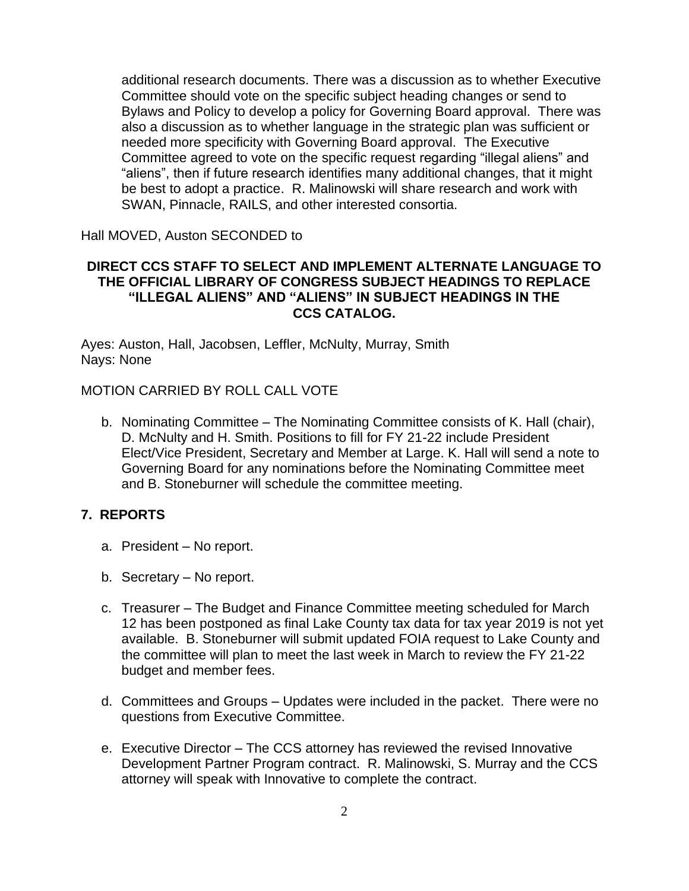additional research documents. There was a discussion as to whether Executive Committee should vote on the specific subject heading changes or send to Bylaws and Policy to develop a policy for Governing Board approval. There was also a discussion as to whether language in the strategic plan was sufficient or needed more specificity with Governing Board approval. The Executive Committee agreed to vote on the specific request regarding "illegal aliens" and "aliens", then if future research identifies many additional changes, that it might be best to adopt a practice. R. Malinowski will share research and work with SWAN, Pinnacle, RAILS, and other interested consortia.

Hall MOVED, Auston SECONDED to

### **DIRECT CCS STAFF TO SELECT AND IMPLEMENT ALTERNATE LANGUAGE TO THE OFFICIAL LIBRARY OF CONGRESS SUBJECT HEADINGS TO REPLACE "ILLEGAL ALIENS" AND "ALIENS" IN SUBJECT HEADINGS IN THE CCS CATALOG.**

Ayes: Auston, Hall, Jacobsen, Leffler, McNulty, Murray, Smith Nays: None

# MOTION CARRIED BY ROLL CALL VOTE

b. Nominating Committee – The Nominating Committee consists of K. Hall (chair), D. McNulty and H. Smith. Positions to fill for FY 21-22 include President Elect/Vice President, Secretary and Member at Large. K. Hall will send a note to Governing Board for any nominations before the Nominating Committee meet and B. Stoneburner will schedule the committee meeting.

# **7. REPORTS**

- a. President No report.
- b. Secretary No report.
- c. Treasurer The Budget and Finance Committee meeting scheduled for March 12 has been postponed as final Lake County tax data for tax year 2019 is not yet available. B. Stoneburner will submit updated FOIA request to Lake County and the committee will plan to meet the last week in March to review the FY 21-22 budget and member fees.
- d. Committees and Groups Updates were included in the packet. There were no questions from Executive Committee.
- e. Executive Director The CCS attorney has reviewed the revised Innovative Development Partner Program contract. R. Malinowski, S. Murray and the CCS attorney will speak with Innovative to complete the contract.